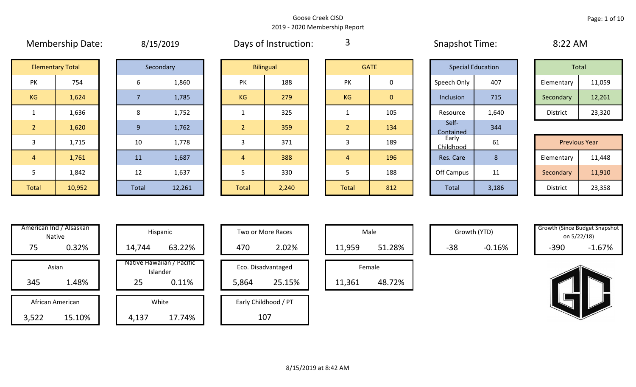|                | <b>IVICITINGIJIIIN DULC.</b> | $U(1)$ $1 - U(1)$ |           |                | <b>DUYS OF HISLINGLIOTI.</b> | $\sim$         |                | <b>UNDUCTION</b>         |       | U.L.L.               |        |
|----------------|------------------------------|-------------------|-----------|----------------|------------------------------|----------------|----------------|--------------------------|-------|----------------------|--------|
|                | <b>Elementary Total</b>      |                   | Secondary |                | <b>Bilingual</b>             |                | <b>GATE</b>    | <b>Special Education</b> |       | Total                |        |
| PK             | 754                          | 6                 | 1,860     | <b>PK</b>      | 188                          | <b>PK</b>      | 0              | Speech Only              | 407   | Elementary           | 11,059 |
| KG             | 1,624                        |                   | 1,785     | <b>KG</b>      | 279                          | KG             | $\overline{0}$ | Inclusion                | 715   | Secondary            | 12,261 |
|                | 1,636                        | 8                 | 1,752     |                | 325                          |                | 105            | Resource                 | 1,640 | District             | 23,320 |
| $\overline{2}$ | 1,620                        | 9                 | 1,762     | $\overline{2}$ | 359                          | $\overline{2}$ | 134            | Self-<br>Contained       | 344   |                      |        |
| 3              | 1,715                        | 10                | 1,778     | 3              | 371                          |                | 189            | Early<br>Childhood       | 61    | <b>Previous Year</b> |        |
| $\sqrt{4}$     | 1,761                        | 11                | 1,687     | $\overline{4}$ | 388                          | $\overline{4}$ | 196            | Res. Care                | 8     | Elementary           | 11,448 |
| 5              | 1,842                        | 12                | 1,637     | Ь              | 330                          |                | 188            | Off Campus               | 11    | Secondary            | 11,910 |
| Total          | 10,952                       | Total             | 12,261    | <b>Total</b>   | 2,240                        | Total          | 812            | Total                    | 3,186 | District             | 23,358 |

| 8/15/2019 |
|-----------|
|-----------|

Membership Date:  $\qquad \qquad 8/15/2019$  Days of Instruction:  $\qquad \qquad 3$  Snapshot Time: 8:22 AM

3

|                    | <b>Elementary Total</b> |  | Secondary |           | <b>Bilingual</b> |           | <b>GATE</b> |             | <b>Special Education</b> | Total      |        |
|--------------------|-------------------------|--|-----------|-----------|------------------|-----------|-------------|-------------|--------------------------|------------|--------|
| שנ<br>$\mathbf{N}$ | 754                     |  | 1,860     | PK        | 188              | PK        |             | Speech Only | 407                      | Elementary | 11,059 |
| G                  | 1,624                   |  | 1,785     | <b>KG</b> | 279              | <b>KG</b> | 0           | Inclusion   | 715                      | Secondary  | 12,261 |
|                    | 1,636                   |  | 1,752     |           | 325              |           | 105         | Resource    | 1,640                    | District   | 23,320 |

|             |        |           |        |       |       |              |     | -----------        |                 |                      |        |
|-------------|--------|-----------|--------|-------|-------|--------------|-----|--------------------|-----------------|----------------------|--------|
|             | 1,715  | 10        | 1,778  |       | 371   |              | 189 | Early<br>Childhood | 61              | <b>Previous Year</b> |        |
|             | 1,761  | <b>11</b> | 1,687  |       | 388   |              | 196 | Res. Care          |                 | Elementary           | 11,448 |
|             | 1,842  | 12        | 1,637  |       | 330   |              | 188 | Off Campus         | 11<br><b>TT</b> | Secondary            | 11,910 |
| <b>otal</b> | 10,952 | Total     | 12,261 | Total | 2,240 | <b>Total</b> | 812 | Total              | 3,186           | District             | 23,358 |

|       | American Ind / Alsaskan<br><b>Native</b> | Hispani                    |
|-------|------------------------------------------|----------------------------|
| 75    | 0.32%                                    | 14,744                     |
|       | Asian                                    | Native Hawaiiai<br>Islande |
| 345   | 1.48%                                    | 25                         |
|       | African American                         | White                      |
| 3,522 | 15.10%                                   | 4,137                      |

|       | American Ind / Alsaskan<br>Native |        | Hispanic                              |       | Two or More Races    |        | Male   |       | Growth (YTD) | <b>Growth (Since Budget Snapsh</b><br>on 5/22/18) |          |
|-------|-----------------------------------|--------|---------------------------------------|-------|----------------------|--------|--------|-------|--------------|---------------------------------------------------|----------|
| 75    | 0.32%                             | 14,744 | 63.22%                                | 470   | 2.02%                | 11,959 | 51.28% | $-38$ | $-0.16%$     | $-390$                                            | $-1.67%$ |
|       | Asian                             |        | Native Hawaiian / Pacific<br>Islander |       | Eco. Disadvantaged   |        | Female |       |              |                                                   |          |
| 345   | 1.48%                             | 25     | 0.11%                                 | 5,864 | 25.15%               | 11,361 | 48.72% |       |              |                                                   |          |
|       | African American                  |        | White                                 |       | Early Childhood / PT |        |        |       |              |                                                   |          |
| 3,522 | 15.10%                            | 4,137  | 17.74%                                |       | 107                  |        |        |       |              |                                                   |          |

| Hispanic                                | Two or More Races                     | Male                  |
|-----------------------------------------|---------------------------------------|-----------------------|
| 63.22%                                  | 2.02%<br>470                          | 11,959                |
| lawaiian / Pacific<br>Islander<br>0.11% | Eco. Disadvantaged<br>25.15%<br>5,864 | Female<br>11,361<br>ı |
| White<br>17.74%                         | Early Childhood / PT<br>107           |                       |

|        | Male   |  |  |  |  |  |  |  |  |  |
|--------|--------|--|--|--|--|--|--|--|--|--|
| 11,959 | 51.28% |  |  |  |  |  |  |  |  |  |
| Female |        |  |  |  |  |  |  |  |  |  |
| 11,361 | 48.72% |  |  |  |  |  |  |  |  |  |

Growth (YTD) Growth (Since Budget Snapshot on 5/22/18)

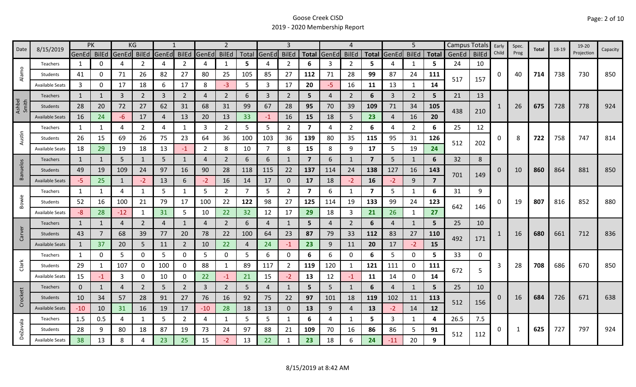| 8/15/2019<br>Date | <b>PK</b>              |              | KG           |                |                |                |                | $\overline{2}$ |                |     | 3              |                |                | 4              |                |                | 5              |                |                                | Campus Totals | Early        | Spec. | Total | 18-19 | 19-20 |            |          |
|-------------------|------------------------|--------------|--------------|----------------|----------------|----------------|----------------|----------------|----------------|-----|----------------|----------------|----------------|----------------|----------------|----------------|----------------|----------------|--------------------------------|---------------|--------------|-------|-------|-------|-------|------------|----------|
|                   |                        | GenEd BilEd  |              | GenEd          | <b>BilEd</b>   | GenEd          | <b>BilEd</b>   | GenEd          | <b>BilEd</b>   |     | Total GenEd    | <b>BilEd</b>   | <b>Total</b>   | GenEd          | <b>BilEd</b>   | <b>Total</b>   | GenEd          | <b>BilEd</b>   | <b>Total</b>                   | GenEd         | <b>BilEd</b> | Child | Prog  |       |       | Projection | Capacity |
|                   | Teachers               | 1            | 0            | 4              | 2              | 4              | $\overline{2}$ | 4              | $\mathbf{1}$   | 5   | 4              | 2              | 6              | 3              | $\overline{2}$ | 5              |                | 1              | 5.                             | 24            | 10           |       |       |       |       |            |          |
| Alamo             | Students               | 41           | 0            | 71             | 26             | 82             | 27             | 80             | 25             | 105 | 85             | 27             | 112            | 71             | 28             | 99             | 87             | 24             | 111                            | 517           | 157          | 0     | 40    | 714   | 738   | 730        | 850      |
|                   | <b>Available Seats</b> | 3            | 0            | 17             | 18             | 6              | 17             | 8              | $-3$           | 5   | 3              | 17             | 20             | $-5$           | 16             | 11             | 13             | 1              | 14                             |               |              |       |       |       |       |            |          |
|                   | <b>Teachers</b>        | 1            |              | $\mathbf{3}$   | $\overline{2}$ | $\overline{3}$ | $\overline{2}$ | 4              | $\overline{2}$ | 6   | 3              | $\overline{2}$ | 5              | 4              | 2              | 6              | $\overline{3}$ | $\overline{2}$ | 5                              | 21            | 13           |       |       |       |       |            |          |
| Ashbel<br>Smith   | Students               | 28           | 20           | 72             | 27             | 62             | 31             | 68             | 31             | 99  | 67             | 28             | 95             | 70             | 39             | 109            | 71             | 34             | 105                            | 438           |              |       | 26    | 675   | 728   | 778        | 924      |
|                   | <b>Available Seats</b> | 16           | 24           | $-6$           | 17             | $\overline{4}$ | 13             | 20             | 13             | 33  | $-1$           | 16             | 15             | 18             | 5              | 23             | $\overline{4}$ | 16             | 20                             |               | 210          |       |       |       |       |            |          |
|                   | Teachers               | 1            | 1            | 4              | 2              | 4              | 1              | 3              | $\overline{2}$ | 5   | 5              | $\overline{2}$ | 7              | 4              | $\overline{2}$ | 6              | 4              | $\overline{2}$ | 6                              | 25            | 12           |       |       |       |       |            |          |
| Austin            | Students               | 26           | 15           | 69             | 26             | 75             | 23             | 64             | 36             | 100 | 103            | 36             | 139            | 80             | 35             | 115            | 95             | 31             | 126                            | 512           | 202          | 0     | 8     | 722   | 758   | 747        | 814      |
|                   | <b>Available Seats</b> | 18           | 29           | 19             | 18             | 13             | $-1$           | $\overline{2}$ | 8              | 10  | $\overline{7}$ | 8              | 15             | 8              | 9              | 17             | 5              | 19             | 24                             |               |              |       |       |       |       |            |          |
|                   | <b>Teachers</b>        | 1            | 1            | 5              | $\mathbf{1}$   | 5              | $\mathbf{1}$   | $\overline{4}$ | 2              | 6   | 6              |                | $\overline{7}$ | 6              | -1             | $\overline{7}$ | 5              | 1              | 6                              | 32            | 8            |       |       |       |       |            |          |
| Banuelos          | Students               | 49           | 19           | 109            | 24             | 97             | 16             | 90             | 28             | 118 | 115            | 22             | 137            | 114            | 24             | 138            | 127            | 16             | 143                            |               |              | 0     | 10    | 860   | 864   | 881        | 850      |
|                   | <b>Available Seats</b> | $-5$         | 25           | $\mathbf{1}$   | $-2$           | 13             | 6              | $-2$           | 16             | 14  | 17             | 0              | 17             | 18             | $-2$           | 16             | $-2$           | 9              | 701<br>$\overline{\mathbf{z}}$ | 149           |              |       |       |       |       |            |          |
|                   | Teachers               | $\mathbf{1}$ | $\mathbf{1}$ | 4              | $\mathbf{1}$   | 5              | $\mathbf{1}$   | 5              | $\overline{2}$ | 7   | 5              | $\overline{2}$ | 7              | 6              | 1              | 7              | 5              | $\mathbf{1}$   | 6                              | 31            | 9            |       |       |       |       |            |          |
| Bowie             | Students               | 52           | 16           | 100            | 21             | 79             | 17             | 100            | 22             | 122 | 98             | 27             | 125            | 114            | 19             | 133            | 99             | 24             | 123                            |               |              | 0     | 19    | 807   | 816   | 852        | 880      |
|                   | <b>Available Seats</b> | -8           | 28           | $-12$          | 1              | 31             | 5              | 10             | 22             | 32  | 12             | 17             | 29             | 18             | $\overline{3}$ | 21             | 26             | 1              | 27                             | 642           | 146          |       |       |       |       |            |          |
|                   | Teachers               | $\mathbf{1}$ | $\mathbf{1}$ | 4              | $\overline{2}$ | $\overline{4}$ | $\mathbf{1}$   | 4              | $\overline{2}$ | 6   | 4              |                | 5              | 4              | 2              | 6              | 4              | 1              | 5                              | 25            | 10           |       |       |       |       |            |          |
| Carver            | Students               | 43           | 7            | 68             | 39             | 77             | 20             | 78             | 22             | 100 | 64             | 23             | 87             | 79             | 33             | 112            | 83             | 27             | <b>110</b>                     | 492           | 171          |       | 16    | 680   | 661   | 712        | 836      |
|                   | <b>Available Seats</b> | $\mathbf{1}$ | 37           | 20             | 5              | 11             | $\overline{2}$ | 10             | 22             | 4   | 24             | $-1$           | 23             | 9              | 11             | 20             | 17             | $-2$           | 15                             |               |              |       |       |       |       |            |          |
|                   | Teachers               | 1            | 0            | 5              | $\mathbf 0$    | 5              | 0              | 5              | 0              | 5.  | 6              | 0              | 6              | 6              | 0              | 6              | 5              | $\mathbf 0$    | 5.                             | 33            | 0            |       |       |       |       |            |          |
| Clark             | Students               | 29           |              | 107            | 0              | 100            | $\mathbf{0}$   | 88             | $\mathbf{1}$   | 89  | 117            | $\overline{2}$ | 119            | 120            | $\mathbf{1}$   | 121            | 111            | 0              | 111                            | 672           | 5            | 3     | 28    | 708   | 686   | 670        | 850      |
|                   | <b>Available Seats</b> | 15           | -1           | 3              | 0              | 10             | 0              | 22             | $-1$           | 21  | 15             | $-2$           | 13             | 12             | $-1$           | 11             | 14             | $\mathbf 0$    | 14                             |               |              |       |       |       |       |            |          |
|                   | Teachers               | $\mathbf 0$  | 1            | $\overline{4}$ | $\overline{2}$ | 5              | $\overline{2}$ | 3              | $\overline{2}$ | 5   | $\overline{4}$ |                | 5              | 5 <sup>1</sup> | $\mathbf{1}$   | 6              | 4              | 1              | 5                              | 25            | 10           |       |       |       |       |            |          |
| Crockett          | Students               | 10           | 34           | 57             | 28             | 91             | 27             | 76             | 16             | 92  | 75             | 22             | 97             | 101            | 18             | 119            | 102            | 11             | 113                            | 512           | 156          | 0     | 16    | 684   | 726   | 671        | 638      |
|                   | <b>Available Seats</b> | $-10$        | 10           | 31             | 16             | 19             | 17             | $-10$          | 28             | 18  | 13             | $\mathbf{0}$   | 13             | 9              | $\overline{4}$ | 13             | $-2$           | 14             | 12                             |               |              |       |       |       |       |            |          |
|                   | Teachers               | 1.5          | 0.5          | 4              | 1              | 5              | $\overline{2}$ | 4              | 1              | 5   | 5              | 1              | 6              | 4              | -1             | 5.             | 3              | $\mathbf{1}$   | 4                              | 26.5          | 7.5          |       |       |       |       |            |          |
| <b>DeZavala</b>   | Students               | 28           | 9            | 80             | 18             | 87             | 19             | 73             | 24             | 97  | 88             | 21             | 109            | 70             | 16             | 86             | 86             | 5              | 91                             | 512           | 112          | 0     | 1     | 625   | 727   | 797        | 924      |
|                   | <b>Available Seats</b> | 38           | 13           | 8              |                | 23             | 25             | 15             | $-2$           | 13  | 22             |                | 23             | 18             | 6              | 24             | -11            | 20             | 9                              |               |              |       |       |       |       |            |          |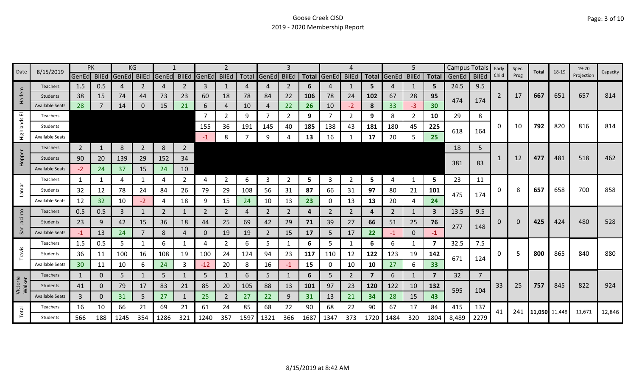| Date<br>8/15/2019  |                        | PK             |          | ΚG                      |                |                |                |             |                |      | 3              |              |           | 4           |                |                | 5                 |              | <b>Campus Totals</b> |       | Early          | Spec.          | Total | 18-19         | 19-20 | Capacity   |        |
|--------------------|------------------------|----------------|----------|-------------------------|----------------|----------------|----------------|-------------|----------------|------|----------------|--------------|-----------|-------------|----------------|----------------|-------------------|--------------|----------------------|-------|----------------|----------------|-------|---------------|-------|------------|--------|
|                    |                        |                |          | GenEd BilEd GenEd BilEd |                | GenEd          |                | BilEd GenEd | <b>BilEd</b>   |      | Total GenEd    | <b>BilEd</b> |           | Total GenEd | <b>BilEd</b>   |                | Total GenEd BilEd |              | <b>Total</b>         | GenEd | <b>BilEd</b>   | Child          | Prog  |               |       | Projection |        |
|                    | <b>Teachers</b>        | 1.5            | 0.5      | 4                       | 2              | $\overline{4}$ | 2              | 3           | 1              | 4    | 4              | 2            | 6         |             | 1              | 5.             | 4                 | 1            | 5                    | 24.5  | 9.5            |                |       |               |       |            |        |
| larlem             | <b>Students</b>        | 38             | 15       | 74                      | 44             | 73             | 23             | 60          | 18             | 78   | 84             | 22           | 106       | 78          | 24             | 102            | 67                | 28           | 95                   | 474   | 174            | $\overline{2}$ | 17    | 667           | 651   | 657        | 814    |
| 工                  | <b>Available Seats</b> | 28             |          | 14                      | 0              | 15             | 21             | 6           | $\overline{4}$ | 10   | 4              | 22           | <b>26</b> | 10          | $-2$           | 8              | 33                | $-3$         | 30                   |       |                |                |       |               |       |            |        |
| ш                  | Teachers               |                |          |                         |                |                |                | 7           | 2              | 9    | $\overline{7}$ | ำ            | 9         |             | 2              | 9              | 8                 | 2            | 10                   | 29    | 8              |                |       |               |       |            |        |
| Highlands          | Students               |                |          |                         |                |                |                | 155         | 36             | 191  | 145            | 40           | 185       | 138         | 43             | 181            | 180               | 45           | 225                  | 618   | 164            | 0              | 10    | 792           | 820   | 816        | 814    |
|                    | <b>Available Seats</b> |                |          |                         |                |                |                | $-1$        | 8              |      | 9              |              | 13        | 16          |                | 17             | 20                | 5            | 25                   |       |                |                |       |               |       |            |        |
|                    | <b>Teachers</b>        | $\overline{2}$ |          | 8                       | $\overline{2}$ | 8              | $\overline{2}$ |             |                |      |                |              |           |             |                |                |                   |              |                      | 18    | 5              |                |       |               |       |            |        |
| Hopper             | Students               | 90             | 20       | 139                     | 29             | 152            | 34             |             |                |      |                |              |           |             |                |                |                   |              |                      |       |                |                | 12    | 477           | 481   | 518        | 462    |
|                    | <b>Available Seats</b> | $-2$           | 24       | 37                      | 15             | 24             | 10             |             |                |      |                |              |           |             |                |                |                   |              |                      | 381   | 83             |                |       |               |       |            |        |
|                    | Teachers               | 1              |          | 4                       | 1              | 4              | $\overline{2}$ | 4           | $\overline{2}$ | 6    | 3              | 2            | 5         | 3           | 2              | 5              | 4                 | 1            | 5                    | 23    | 11             |                |       |               |       |            |        |
| Lamar              | Students               | 32             | 12       | 78                      | 24             | 84             | 26             | 79          | 29             | 108  | 56             | 31           | 87        | 66          | 31             | 97             | 80                | 21           | 101                  |       |                | 0              | 8     | 657           | 658   | 700        | 858    |
|                    | Available Seats        | 12             | 32       | 10                      | $-2$           | 4              | 18             | 9           | 15             | 24   | 10             | 13           | 23        | 0           | 13             | 13             | 20                | 4            | 24                   | 475   | 174            |                |       |               |       |            |        |
| cinto              | Teachers               | 0.5            | 0.5      | 3                       | 1              | 2              | 1              | 2           | $\overline{2}$ | 4    | 2              | 2            | 4         | 2           | 2              | 4              | 2                 | 1            | $\mathbf{3}$         | 13.5  | 9.5            |                |       |               |       |            |        |
|                    | Students               | 23             | 9        | 42                      | 15             | 36             | 18             | 44          | 25             | 69   | 42             | 29           | 71        | 39          | 27             | 66             | 51                | 25           | 76                   |       |                | 0              |       | 425           | 424   | 480        | 528    |
| San                | <b>Available Seats</b> | $-1$           | 13       | 24                      | 7              | 8              | 4              | 0           | 19             | 19   | $\overline{2}$ | 15           | 17        | 5           | 17             | 22             | $-1$              | $\mathbf{0}$ | $-1$                 | 277   | 148            |                |       |               |       |            |        |
|                    | Teachers               | 1.5            | 0.5      | 5                       | 1              | 6              | 1              | 4           | $\overline{2}$ | 6    | 5              | 1            | 6         | 5.          | 1              | 6              | 6                 | $\mathbf{1}$ | 7                    | 32.5  | 7.5            |                |       |               |       |            |        |
| Travis             | Students               | 36             | 11       | 100                     | 16             | 108            | 19             | 100         | 24             | 124  | 94             | 23           | 117       | 110         | 12             | 122            | 123               | 19           | 142                  |       |                | $\Omega$       |       | 800           | 865   | 840        | 880    |
|                    | Available Seats        | 30             | 11       | 10                      | 6              | 24             | 3              | $-12$       | 20             | 8    | 16             | -1           | 15        | 0           | 10             | 10             | 27                | 6            | 33                   | 671   | 124            |                |       |               |       |            |        |
|                    | Teachers               | $\mathbf{1}$   | 0        | 5                       | $\mathbf{1}$   | 5              | $\mathbf{1}$   | 5           | $\mathbf{1}$   | 6    | 5              |              | 6         | 5.          | $\overline{2}$ | $\overline{7}$ | 6                 | 1            | 7                    | 32    | $\overline{7}$ |                |       |               |       |            |        |
| Victoria<br>Walker | <b>Students</b>        | 41             | $\Omega$ | 79                      | 17             | 83             | 21             | 85          | 20             | 105  | 88             | 13           | 101       | 97          | 23             | 120            | 122               | 10           | 132                  |       |                | 33             | 25    | 757           | 845   | 822        | 924    |
|                    | <b>Available Seats</b> | 3              | 0        | 31                      | 5              | 27             | 1              | 25          | $\overline{2}$ | 27   | 22             | 9            | 31        | 13          | 21             | 34             | 28                | 15           | 43                   | 595   | 104            |                |       |               |       |            |        |
|                    | Teachers               | 16             | 10       | 66                      | 21             | 69             | 21             | 61          | 24             | 85   | 68             | 22           | 90        | 68          | 22             | 90             | 67                | 17           | 84                   | 415   | 137            |                |       |               |       |            |        |
| Total              | Students               | 566            | 188      | 1245                    | 354            | 1286           | 321            | 1240        | 357            | 1597 | 1321           | 366          | 1687      | 1347        | 373            | 1720           | 1484              | 320          | 1804                 | 8,489 | 2279           | 41             | 241   | 11,050 11,448 |       | 11,671     | 12,846 |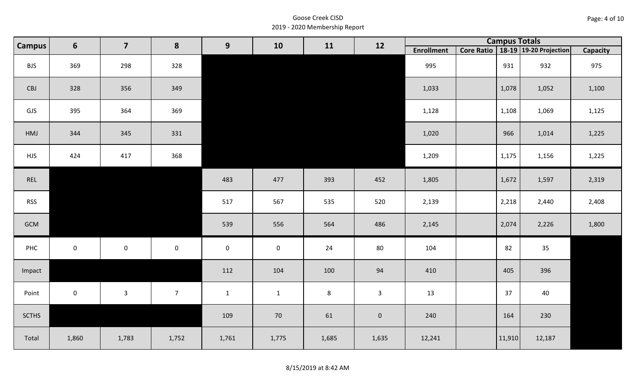| Page: 4 of 10 |  |
|---------------|--|
|---------------|--|

| Campus       | 6                   | $\overline{7}$      | 8                   | 9            | 10           | 11      | 12             |                   | <b>Campus Totals</b> |                                       |                 |
|--------------|---------------------|---------------------|---------------------|--------------|--------------|---------|----------------|-------------------|----------------------|---------------------------------------|-----------------|
|              |                     |                     |                     |              |              |         |                | <b>Enrollment</b> |                      | Core Ratio   18-19   19-20 Projection | <b>Capacity</b> |
| <b>BJS</b>   | 369                 | 298                 | 328                 |              |              |         |                | 995               | 931                  | 932                                   | 975             |
| CBJ          | 328                 | 356                 | 349                 |              |              |         |                | 1,033             | 1,078                | 1,052                                 | 1,100           |
| GJS          | 395                 | 364                 | 369                 |              |              |         |                | 1,128             | 1,108                | 1,069                                 | 1,125           |
| HMJ          | 344                 | 345                 | 331                 |              |              |         |                | 1,020             | 966                  | 1,014                                 | 1,225           |
| <b>HJS</b>   | 424                 | 417                 | 368                 |              |              |         |                | 1,209             | 1,175                | 1,156                                 | 1,225           |
| REL          |                     |                     |                     | 483          | 477          | 393     | 452            | 1,805             | 1,672                | 1,597                                 | 2,319           |
| <b>RSS</b>   |                     |                     |                     | 517          | 567          | 535     | 520            | 2,139             | 2,218                | 2,440                                 | 2,408           |
| GCM          |                     |                     |                     | 539          | 556          | 564     | 486            | 2,145             | 2,074                | 2,226                                 | 1,800           |
| PHC          | $\mathsf{O}\xspace$ | $\mathsf{O}\xspace$ | $\mathsf{O}\xspace$ | $\mathbf 0$  | $\mathbf 0$  | 24      | 80             | 104               | 82                   | 35                                    |                 |
| Impact       |                     |                     |                     | 112          | 104          | 100     | 94             | 410               | 405                  | 396                                   |                 |
| Point        | $\mathbf 0$         | $\mathbf{3}$        | 7 <sup>7</sup>      | $\mathbf{1}$ | $\mathbf{1}$ | $\,8\,$ | 3 <sup>1</sup> | 13                | 37                   | 40                                    |                 |
| <b>SCTHS</b> |                     |                     |                     | 109          | 70           | 61      | $\mathbf 0$    | 240               | 164                  | 230                                   |                 |
| Total        | 1,860               | 1,783               | 1,752               | 1,761        | 1,775        | 1,685   | 1,635          | 12,241            | 11,910               | 12,187                                |                 |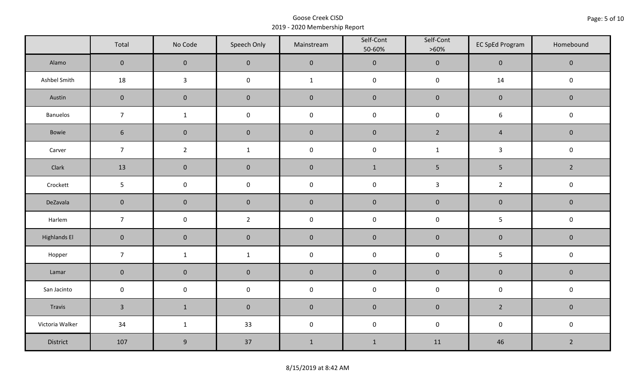|                     | Total          | No Code          | Speech Only         | Mainstream   | Self-Cont<br>50-60% | Self-Cont<br>$>60\%$ | <b>EC SpEd Program</b> | Homebound      |  |
|---------------------|----------------|------------------|---------------------|--------------|---------------------|----------------------|------------------------|----------------|--|
| Alamo               | $\overline{0}$ | $\mathbf 0$      | $\mathbf{0}$        | $\pmb{0}$    | $\pmb{0}$           | $\pmb{0}$            | $\mathbf 0$            | $\mathbf 0$    |  |
| Ashbel Smith        | 18             | $\mathbf{3}$     | $\mathsf{O}\xspace$ | $\mathbf{1}$ | $\pmb{0}$           | $\pmb{0}$            | 14                     | $\mathbf 0$    |  |
| Austin              | $\mathbf 0$    | $\mathbf 0$      | $\mathbf 0$         | $\pmb{0}$    | $\pmb{0}$           | $\pmb{0}$            | $\pmb{0}$              | $\mathbf 0$    |  |
| Banuelos            | $\overline{7}$ | $\mathbf{1}$     | $\pmb{0}$           | $\pmb{0}$    | $\pmb{0}$           | $\pmb{0}$            | $\boldsymbol{6}$       | $\pmb{0}$      |  |
| Bowie               | $6\phantom{1}$ | $\mathbf 0$      | $\mathbf{0}$        | $\mathbf 0$  | $\mathbf 0$         | $2^{\circ}$          | $\overline{4}$         | $\mathbf 0$    |  |
| Carver              | $\overline{7}$ | $\overline{2}$   | $\mathbf 1$         | $\pmb{0}$    | $\pmb{0}$           | $\mathbf{1}$         | $\mathbf{3}$           | $\pmb{0}$      |  |
| Clark               | 13             | $\mathbf 0$      | $\mathbf 0$         | $\pmb{0}$    | $1\,$               | $5\phantom{.0}$      | $\overline{5}$         | $\overline{2}$ |  |
| Crockett            | 5              | $\mathsf 0$      | $\pmb{0}$           | $\pmb{0}$    | $\pmb{0}$           | $\mathbf{3}$         | $\overline{2}$         | $\pmb{0}$      |  |
| DeZavala            | $\mathbf 0$    | $\mathbf 0$      | $\mathbf 0$         | $\pmb{0}$    | $\pmb{0}$           | $\pmb{0}$            | $\pmb{0}$              | $\pmb{0}$      |  |
| Harlem              | $\overline{7}$ | $\pmb{0}$        | $\overline{2}$      | $\pmb{0}$    | $\pmb{0}$           | $\pmb{0}$            | 5                      | $\mathsf 0$    |  |
| <b>Highlands El</b> | $\mathbf 0$    | $\mathbf 0$      | $\mathbf 0$         | $\pmb{0}$    | $\pmb{0}$           | $\pmb{0}$            | $\pmb{0}$              | $\mathbf 0$    |  |
| Hopper              | $\overline{7}$ | $\mathbf{1}$     | $\mathbf{1}$        | $\pmb{0}$    | $\pmb{0}$           | $\pmb{0}$            | 5                      | $\pmb{0}$      |  |
| Lamar               | $\mathbf 0$    | $\mathbf 0$      | $\mathbf 0$         | $\pmb{0}$    | $\pmb{0}$           | $\pmb{0}$            | $\pmb{0}$              | $\pmb{0}$      |  |
| San Jacinto         | $\mathbf 0$    | $\pmb{0}$        | $\pmb{0}$           | $\pmb{0}$    | $\pmb{0}$           | $\pmb{0}$            | $\pmb{0}$              | $\pmb{0}$      |  |
| Travis              | $\overline{3}$ | $\mathbf{1}$     | $\mathbf 0$         | $\pmb{0}$    | $\pmb{0}$           | $\pmb{0}$            | $2^{\circ}$            | $\mathbf 0$    |  |
| Victoria Walker     | 34             | $\mathbf{1}$     | 33                  | $\pmb{0}$    | $\pmb{0}$           | $\pmb{0}$            | $\pmb{0}$              | $\pmb{0}$      |  |
| District            | 107            | $\boldsymbol{9}$ | 37                  | $\mathbf 1$  | $\mathbf{1}$        | 11                   | 46                     | $\overline{2}$ |  |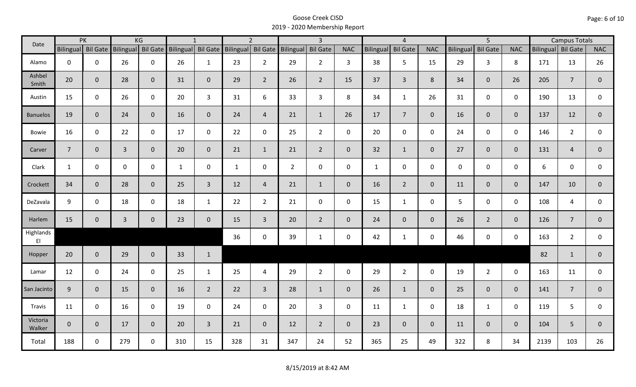| Date               |                    | PK           |                | KG                 |                  | $\mathbf{1}$    |                  | $\overline{2}$ |                    | $\overline{\mathbf{3}}$ |                |                  | $\overline{4}$  |                |                  | $\overline{5}$  |                | <b>Campus Totals</b> |                |              |
|--------------------|--------------------|--------------|----------------|--------------------|------------------|-----------------|------------------|----------------|--------------------|-------------------------|----------------|------------------|-----------------|----------------|------------------|-----------------|----------------|----------------------|----------------|--------------|
|                    | Bilingual Bil Gate |              |                | Bilingual Bil Gate | <b>Bilingual</b> | <b>Bil Gate</b> | <b>Bilingual</b> |                | Bil Gate Bilingual | <b>Bil Gate</b>         | <b>NAC</b>     | <b>Bilingual</b> | <b>Bil Gate</b> | <b>NAC</b>     | <b>Bilingual</b> | <b>Bil Gate</b> | <b>NAC</b>     | Bilingual Bil Gate   |                | <b>NAC</b>   |
| Alamo              | $\mathbf 0$        | $\mathbf 0$  | 26             | $\mathbf 0$        | 26               | $\mathbf{1}$    | 23               | $2^{\circ}$    | 29                 | $2^{\circ}$             | $\overline{3}$ | 38               | 5               | 15             | 29               | $\overline{3}$  | 8              | 171                  | 13             | 26           |
| Ashbel<br>Smith    | 20                 | $\mathbf 0$  | 28             | $\mathbf{0}$       | 31               | $\mathbf 0$     | 29               | $\overline{2}$ | 26                 | $2^{\circ}$             | 15             | 37               | $\overline{3}$  | 8              | 34               | $\overline{0}$  | 26             | 205                  | $\overline{7}$ | $\mathbf 0$  |
| Austin             | 15                 | $\mathbf 0$  | 26             | $\mathbf 0$        | 20               | $\overline{3}$  | 31               | 6              | 33                 | $\overline{3}$          | 8              | 34               | $\mathbf{1}$    | 26             | 31               | $\mathbf 0$     | $\mathbf 0$    | 190                  | 13             | $\mathsf{O}$ |
| <b>Banuelos</b>    | 19                 | $\mathbf{0}$ | 24             | $\overline{0}$     | 16               | $\mathbf{0}$    | 24               | $\overline{4}$ | 21                 | $\mathbf{1}$            | 26             | 17               | $7\overline{ }$ | $\overline{0}$ | 16               | $\overline{0}$  | $\overline{0}$ | 137                  | 12             | $\mathbf{0}$ |
| <b>Bowie</b>       | 16                 | $\mathbf 0$  | 22             | $\mathbf 0$        | 17               | $\mathbf 0$     | 22               | $\mathbf 0$    | 25                 | $2^{\circ}$             | $\mathsf{O}$   | 20               | $\mathbf 0$     | $\mathbf 0$    | 24               | $\mathbf 0$     | $\mathbf 0$    | 146                  | $\overline{2}$ | $\mathbf 0$  |
| Carver             | $\overline{7}$     | $\mathbf{0}$ | $\overline{3}$ | $\mathbf 0$        | 20               | $\mathbf{0}$    | 21               | $\mathbf{1}$   | 21                 | $2^{\circ}$             | $\overline{0}$ | 32               | $\mathbf{1}$    | $\overline{0}$ | 27               | $\mathbf{0}$    | $\overline{0}$ | 131                  | $\overline{4}$ | $\mathbf{0}$ |
| Clark              | $\mathbf{1}$       | $\mathbf 0$  | $\mathbf 0$    | $\mathbf 0$        | $\mathbf{1}$     | $\mathbf 0$     | $\mathbf{1}$     | $\mathbf 0$    | $\overline{2}$     | $\mathsf{O}$            | $\mathbf 0$    | $\mathbf{1}$     | $\mathbf 0$     | $\mathsf{O}$   | $\mathbf 0$      | $\mathbf 0$     | $\mathbf 0$    | 6                    | $\mathbf 0$    | $\mathbf 0$  |
| Crockett           | 34                 | $\mathbf{0}$ | 28             | $\mathbf{0}$       | 25               | $\overline{3}$  | 12               | $\overline{4}$ | 21                 | $\mathbf{1}$            | $\mathbf 0$    | 16               | $2^{\circ}$     | $\overline{0}$ | 11               | $\mathbf{0}$    | $\overline{0}$ | 147                  | 10             | $\mathbf 0$  |
| DeZavala           | 9                  | $\mathbf 0$  | 18             | $\mathbf 0$        | 18               | $\mathbf{1}$    | 22               | $2^{\circ}$    | 21                 | $\mathsf{O}$            | $\mathbf 0$    | 15               | $\mathbf{1}$    | $\mathbf 0$    | 5                | $\mathbf 0$     | $\mathbf 0$    | 108                  | 4              | $\mathbf 0$  |
| Harlem             | 15                 | $\mathbf 0$  | $\overline{3}$ | $\mathbf 0$        | 23               | $\mathbf 0$     | 15               | $\overline{3}$ | 20                 | $2^{\circ}$             | $\mathbf{0}$   | 24               | $\overline{0}$  | $\overline{0}$ | 26               | $2^{\circ}$     | $\overline{0}$ | 126                  | $\overline{7}$ | $\mathbf{0}$ |
| Highlands<br>EI    |                    |              |                |                    |                  |                 | 36               | $\mathbf 0$    | 39                 | $\mathbf{1}$            | $\mathbf 0$    | 42               | $\mathbf{1}$    | $\mathsf{O}$   | 46               | $\mathbf 0$     | $\mathbf 0$    | 163                  | $\overline{2}$ | $\mathbf{0}$ |
| Hopper             | 20                 | $\mathbf 0$  | 29             | $\overline{0}$     | 33               | $\mathbf{1}$    |                  |                |                    |                         |                |                  |                 |                |                  |                 |                | 82                   | $\mathbf{1}$   | $\mathbf 0$  |
| Lamar              | 12                 | $\mathbf 0$  | 24             | $\mathbf 0$        | 25               | $\mathbf{1}$    | 25               | 4              | 29                 | $\overline{2}$          | $\mathsf{O}$   | 29               | $\overline{2}$  | $\mathsf{O}$   | 19               | $2^{\circ}$     | $\mathbf 0$    | 163                  | 11             | $\mathbf 0$  |
| San Jacinto        | 9                  | $\mathbf 0$  | 15             | $\overline{0}$     | 16               | $2^{\circ}$     | 22               | $\overline{3}$ | 28                 | $\mathbf{1}$            | $\overline{0}$ | 26               | $\mathbf{1}$    | $\overline{0}$ | 25               | $\mathbf{0}$    | $\overline{0}$ | 141                  | $\overline{7}$ | $\mathbf 0$  |
| Travis             | 11                 | $\mathbf 0$  | 16             | $\mathbf 0$        | 19               | $\mathbf 0$     | 24               | $\mathbf 0$    | 20                 | $\overline{3}$          | $\mathsf{O}$   | 11               | $\mathbf{1}$    | $\mathbf 0$    | 18               | $\mathbf{1}$    | $\mathbf 0$    | 119                  | 5              | $\mathbf 0$  |
| Victoria<br>Walker | $\overline{0}$     | $\mathbf 0$  | 17             | $\overline{0}$     | 20               | $\overline{3}$  | 21               | $\overline{0}$ | 12                 | $2^{\circ}$             | $\mathbf{0}$   | 23               | $\overline{0}$  | $\overline{0}$ | 11               | $\mathbf{0}$    | $\overline{0}$ | 104                  | 5              | $\mathbf 0$  |
| Total              | 188                | $\mathbf 0$  | 279            | $\mathbf 0$        | 310              | 15              | 328              | 31             | 347                | 24                      | 52             | 365              | 25              | 49             | 322              | 8               | 34             | 2139                 | 103            | 26           |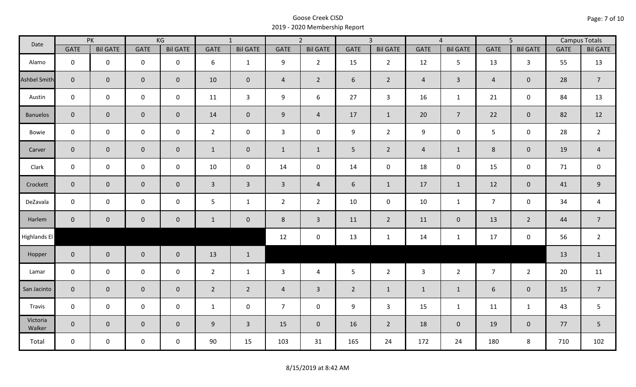| Date               |                | PK              |                     | KG              |                | $\overline{1}$  |                | $\overline{2}$  |                | $\overline{3}$  |                | $\overline{4}$  |                | $\overline{5}$  |             | <b>Campus Totals</b> |
|--------------------|----------------|-----------------|---------------------|-----------------|----------------|-----------------|----------------|-----------------|----------------|-----------------|----------------|-----------------|----------------|-----------------|-------------|----------------------|
|                    | <b>GATE</b>    | <b>Bil GATE</b> | <b>GATE</b>         | <b>Bil GATE</b> | <b>GATE</b>    | <b>Bil GATE</b> | <b>GATE</b>    | <b>Bil GATE</b> | <b>GATE</b>    | <b>Bil GATE</b> | <b>GATE</b>    | <b>Bil GATE</b> | <b>GATE</b>    | <b>Bil GATE</b> | <b>GATE</b> | <b>Bil GATE</b>      |
| Alamo              | $\mathbf{0}$   | $\mathbf 0$     | $\mathbf 0$         | $\mathbf 0$     | 6              | $\mathbf{1}$    | 9              | $\overline{2}$  | 15             | $2^{\circ}$     | 12             | 5               | 13             | $\mathbf{3}$    | 55          | 13                   |
| Ashbel Smith       | $\mathbf{0}$   | $\overline{0}$  | $\mathbf 0$         | $\mathbf{0}$    | 10             | $\mathbf 0$     | $\overline{4}$ | $\overline{2}$  | 6              | $2^{\circ}$     | $\overline{4}$ | $\mathbf{3}$    | $\overline{4}$ | $\mathbf{0}$    | 28          | $\overline{7}$       |
| Austin             | $\mathbf 0$    | $\mathbf 0$     | $\mathbf 0$         | $\mathbf 0$     | 11             | $\overline{3}$  | 9              | 6               | 27             | $\mathbf{3}$    | 16             | $\mathbf{1}$    | 21             | $\mathbf 0$     | 84          | 13                   |
| <b>Banuelos</b>    | $\overline{0}$ | $\mathbf 0$     | $\mathsf{O}\xspace$ | $\overline{0}$  | 14             | $\mathbf{0}$    | 9              | $\overline{4}$  | 17             | $\mathbf{1}$    | 20             | $\overline{7}$  | 22             | $\overline{0}$  | 82          | 12                   |
| Bowie              | $\mathbf 0$    | $\mathbf 0$     | $\mathsf{O}\xspace$ | $\mathbf 0$     | $2^{\circ}$    | $\mathbf 0$     | $\mathbf{3}$   | $\mathbf 0$     | 9              | $2^{\circ}$     | 9              | 0               | $5\phantom{.}$ | $\mathbf 0$     | 28          | $\overline{2}$       |
| Carver             | $\overline{0}$ | $\mathbf 0$     | $\mathsf{O}\xspace$ | $\overline{0}$  | $\mathbf{1}$   | $\mathbf 0$     | $\mathbf{1}$   | $\mathbf{1}$    | 5 <sub>1</sub> | $\overline{2}$  | $\overline{4}$ | $\mathbf{1}$    | $8\phantom{1}$ | $\mathbf{0}$    | 19          | $\overline{4}$       |
| Clark              | $\mathbf 0$    | $\mathbf 0$     | $\pmb{0}$           | 0               | 10             | $\mathbf 0$     | 14             | $\mathbf 0$     | 14             | $\mathbf 0$     | 18             | $\mathbf 0$     | 15             | $\mathbf 0$     | 71          | $\mathbf 0$          |
| Crockett           | $\overline{0}$ | $\mathbf{0}$    | $\mathbf 0$         | $\overline{0}$  | $\mathbf{3}$   | $\overline{3}$  | $\overline{3}$ | $\overline{4}$  | 6              | $\mathbf{1}$    | 17             | $\mathbf{1}$    | 12             | $\mathbf 0$     | 41          | $9\,$                |
| DeZavala           | $\mathbf 0$    | $\mathbf 0$     | $\mathbf 0$         | $\mathbf 0$     | 5              | $\mathbf{1}$    | $\overline{2}$ | $\overline{2}$  | 10             | $\mathbf 0$     | 10             | $\mathbf{1}$    | $\overline{7}$ | $\mathbf 0$     | 34          | $\overline{a}$       |
| Harlem             | $\overline{0}$ | $\overline{0}$  | $\mathbf 0$         | $\mathbf{0}$    | $\mathbf{1}$   | $\mathbf 0$     | 8              | $\overline{3}$  | 11             | $\overline{2}$  | 11             | $\mathbf{0}$    | 13             | $\overline{2}$  | 44          | $\overline{7}$       |
| Highlands El       |                |                 |                     |                 |                |                 | 12             | $\mathbf 0$     | 13             | $\mathbf{1}$    | 14             | $\mathbf{1}$    | 17             | $\mathbf 0$     | 56          | $\overline{2}$       |
| Hopper             | $\overline{0}$ | $\overline{0}$  | $\mathbf 0$         | $\overline{0}$  | 13             | $\mathbf{1}$    |                |                 |                |                 |                |                 |                |                 | 13          | $\mathbf{1}$         |
| Lamar              | $\mathbf 0$    | $\mathbf 0$     | $\mathbf 0$         | $\mathbf 0$     | $2^{\circ}$    | $\mathbf{1}$    | 3              | $\overline{4}$  | 5              | $\overline{2}$  | $\overline{3}$ | $\overline{2}$  | $\overline{7}$ | $2^{\circ}$     | 20          | 11                   |
| San Jacinto        | $\mathbf 0$    | $\overline{0}$  | $\mathbf 0$         | $\mathbf 0$     | $\overline{2}$ | $\overline{2}$  | $\overline{a}$ | $\overline{3}$  | $\overline{2}$ | $\mathbf{1}$    | $\mathbf{1}$   | $\mathbf{1}$    | 6              | $\mathbf 0$     | 15          | $\overline{7}$       |
| Travis             | $\mathbf 0$    | $\mathbf 0$     | $\mathsf 0$         | $\mathbf 0$     | $\mathbf{1}$   | $\mathbf 0$     | $\overline{7}$ | $\mathbf 0$     | 9              | $\mathbf{3}$    | 15             | $\mathbf{1}$    | 11             | $\mathbf{1}$    | 43          | 5                    |
| Victoria<br>Walker | $\overline{0}$ | $\mathbf 0$     | $\mathbf 0$         | $\overline{0}$  | 9              | $\overline{3}$  | 15             | $\mathbf{0}$    | 16             | $2^{\circ}$     | 18             | $\mathbf 0$     | 19             | $\overline{0}$  | 77          | 5                    |
| Total              | $\mathbf 0$    | $\mathbf 0$     | $\mathbf 0$         | $\mathbf 0$     | 90             | 15              | 103            | 31              | 165            | 24              | 172            | 24              | 180            | 8               | 710         | 102                  |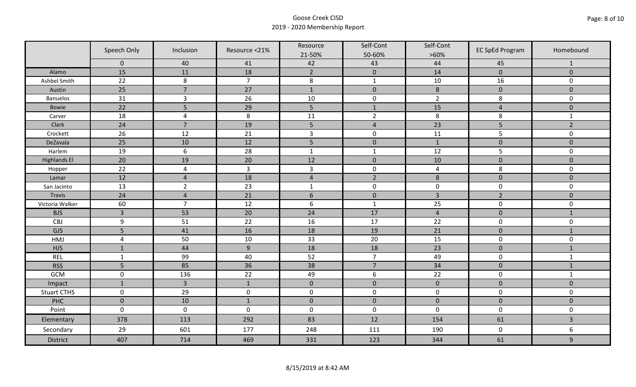|                     | Speech Only         | Inclusion      | Resource <21%  | Resource             | Self-Cont      | Self-Cont      | <b>EC SpEd Program</b> | Homebound               |
|---------------------|---------------------|----------------|----------------|----------------------|----------------|----------------|------------------------|-------------------------|
|                     |                     |                |                | 21-50%               | 50-60%         | $>60\%$        |                        |                         |
|                     | $\mathbf 0$<br>15   | 40<br>11       | 41<br>18       | 42<br>$\overline{2}$ | 43             | 44<br>14       | 45<br>$\overline{0}$   | 1<br>$\overline{0}$     |
| Alamo               |                     |                |                |                      | $\mathbf 0$    |                |                        |                         |
| Ashbel Smith        | 22                  | $\,8\,$        | $\overline{7}$ | $\,8\,$              | $\mathbf 1$    | $10\,$         | 16                     | 0                       |
| Austin              | 25                  | $\overline{7}$ | 27             | $\mathbf 1$          | $\pmb{0}$      | $\,8\,$        | $\pmb{0}$              | $\mathbf 0$             |
| <b>Banuelos</b>     | 31                  | $\overline{3}$ | 26             | 10                   | $\pmb{0}$      | $\overline{2}$ | 8                      | $\mathbf 0$             |
| Bowie               | 22                  | 5              | 29             | 5                    | $\mathbf{1}$   | 15             | $\overline{4}$         | $\mathbf 0$             |
| Carver              | 18                  | $\overline{4}$ | 8              | 11                   | $\overline{2}$ | $\,8\,$        | 8                      | $\mathbf 1$             |
| Clark               | 24                  | $\overline{7}$ | 19             | 5                    | $\overline{4}$ | 23             | 5                      | $\overline{2}$          |
| Crockett            | 26                  | 12             | 21             | $\overline{3}$       | $\pmb{0}$      | 11             | 5                      | $\mathsf{O}\xspace$     |
| DeZavala            | 25                  | 10             | 12             | 5                    | $\pmb{0}$      | $\mathbf 1$    | $\pmb{0}$              | $\pmb{0}$               |
| Harlem              | 19                  | 6              | 28             | $\mathbf 1$          | $\mathbf{1}$   | 12             | 5                      | 0                       |
| <b>Highlands El</b> | 20                  | 19             | 20             | 12                   | $\pmb{0}$      | 10             | $\pmb{0}$              | $\overline{0}$          |
| Hopper              | 22                  | $\overline{4}$ | $\overline{3}$ | $\overline{3}$       | $\pmb{0}$      | $\overline{a}$ | 8                      | 0                       |
| Lamar               | 12                  | $\overline{4}$ | 18             | $\sqrt{4}$           | $\overline{2}$ | $\,8\,$        | $\pmb{0}$              | $\mathbf 0$             |
| San Jacinto         | 13                  | $\overline{2}$ | 23             | $\mathbf{1}$         | $\pmb{0}$      | $\pmb{0}$      | $\pmb{0}$              | 0                       |
| <b>Travis</b>       | 24                  | $\overline{4}$ | 21             | $6\,$                | $\pmb{0}$      | $\overline{3}$ | $\overline{2}$         | $\mathbf 0$             |
| Victoria Walker     | 60                  | $\overline{7}$ | 12             | $\boldsymbol{6}$     | $\mathbf 1$    | 25             | $\pmb{0}$              | 0                       |
| <b>BJS</b>          | $\overline{3}$      | 53             | 20             | 24                   | 17             | $\overline{4}$ | $\mathbf 0$            | $\mathbf{1}$            |
| CBJ                 | 9                   | 51             | 22             | 16                   | 17             | 22             | $\pmb{0}$              | $\mathbf 0$             |
| GJS                 | 5                   | 41             | 16             | 18                   | 19             | 21             | $\pmb{0}$              | $\mathbf{1}$            |
| HMJ                 | $\overline{4}$      | 50             | 10             | 33                   | 20             | 15             | $\mathbf 0$            | 0                       |
| <b>HJS</b>          | $\mathbf{1}$        | 44             | $\overline{9}$ | 18                   | 18             | 23             | $\pmb{0}$              | $\mathbf{1}$            |
| <b>REL</b>          | $\mathbf{1}$        | 99             | 40             | 52                   | $\overline{7}$ | 49             | $\pmb{0}$              | $\mathbf{1}$            |
| <b>RSS</b>          | 5                   | 85             | 36             | 38                   | $\overline{7}$ | 34             | $\pmb{0}$              | $\mathbf{1}$            |
| <b>GCM</b>          | $\mathsf 0$         | 136            | 22             | 49                   | 6              | 22             | $\pmb{0}$              | $\mathbf{1}$            |
| Impact              | $1\,$               | $\overline{3}$ | $1\,$          | $\mathbf 0$          | $\pmb{0}$      | $\pmb{0}$      | $\pmb{0}$              | $\overline{0}$          |
| <b>Stuart CTHS</b>  | $\mathsf 0$         | 29             | $\pmb{0}$      | $\pmb{0}$            | $\pmb{0}$      | $\pmb{0}$      | $\pmb{0}$              | 0                       |
| PHC                 | $\mathbf 0$         | 10             | $\mathbf{1}$   | $\mathbf 0$          | $\mathbf 0$    | $\mathbf 0$    | $\mathbf 0$            | $\mathbf 0$             |
| Point               | $\mathsf{O}\xspace$ | $\pmb{0}$      | $\mathbf 0$    | $\pmb{0}$            | $\pmb{0}$      | $\mathbf 0$    | $\pmb{0}$              | $\mathbf 0$             |
| Elementary          | 378                 | 113            | 292            | 83                   | 12             | 154            | 61                     | $\overline{\mathbf{3}}$ |
| Secondary           | 29                  | 601            | 177            | 248                  | 111            | 190            | $\pmb{0}$              | 6                       |
| <b>District</b>     | 407                 | 714            | 469            | 331                  | 123            | 344            | 61                     | 9                       |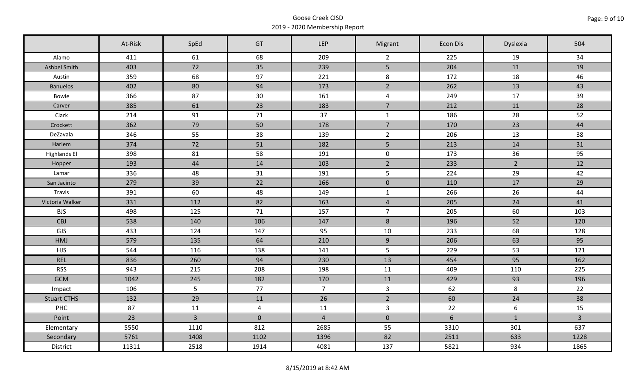|                     | At-Risk | SpEd           | GT             | LEP            | Migrant        | Econ Dis        | Dyslexia         | 504            |
|---------------------|---------|----------------|----------------|----------------|----------------|-----------------|------------------|----------------|
| Alamo               | 411     | 61             | 68             | 209            | $\overline{2}$ | 225             | 19               | 34             |
| Ashbel Smith        | 403     | 72             | 35             | 239            | 5 <sup>1</sup> | 204             | 11               | 19             |
| Austin              | 359     | 68             | 97             | 221            | 8              | 172             | 18               | 46             |
| <b>Banuelos</b>     | 402     | 80             | 94             | 173            | $\overline{2}$ | 262             | 13               | 43             |
| Bowie               | 366     | 87             | 30             | 161            | $\overline{4}$ | 249             | 17               | 39             |
| Carver              | 385     | 61             | 23             | 183            | $\overline{7}$ | 212             | 11               | 28             |
| Clark               | 214     | 91             | 71             | 37             | $\mathbf{1}$   | 186             | 28               | 52             |
| Crockett            | 362     | 79             | 50             | 178            | $\overline{7}$ | 170             | 23               | 44             |
| DeZavala            | 346     | 55             | 38             | 139            | $\overline{2}$ | 206             | 13               | 38             |
| Harlem              | 374     | 72             | 51             | 182            | 5 <sub>1</sub> | 213             | 14               | 31             |
| <b>Highlands El</b> | 398     | 81             | 58             | 191            | $\mathbf 0$    | 173             | 36               | 95             |
| Hopper              | 193     | 44             | 14             | 103            | $\overline{2}$ | 233             | $2^{\circ}$      | 12             |
| Lamar               | 336     | 48             | 31             | 191            | 5              | 224             | 29               | 42             |
| San Jacinto         | 279     | 39             | 22             | 166            | $\mathbf 0$    | 110             | 17               | 29             |
| Travis              | 391     | 60             | 48             | 149            | $\mathbf{1}$   | 266             | 26               | 44             |
| Victoria Walker     | 331     | 112            | 82             | 163            | $\overline{4}$ | 205             | 24               | 41             |
| <b>BJS</b>          | 498     | 125            | 71             | 157            | $\overline{7}$ | 205             | 60               | 103            |
| CBJ                 | 538     | 140            | 106            | 147            | 8              | 196             | 52               | 120            |
| GJS                 | 433     | 124            | 147            | 95             | 10             | 233             | 68               | 128            |
| HMJ                 | 579     | 135            | 64             | 210            | 9              | 206             | 63               | 95             |
| <b>HJS</b>          | 544     | 116            | 138            | 141            | 5              | 229             | 53               | 121            |
| <b>REL</b>          | 836     | 260            | 94             | 230            | 13             | 454             | 95               | 162            |
| <b>RSS</b>          | 943     | 215            | 208            | 198            | 11             | 409             | 110              | 225            |
| <b>GCM</b>          | 1042    | 245            | 182            | 170            | 11             | 429             | 93               | 196            |
| Impact              | 106     | 5              | 77             | $\overline{7}$ | $\mathbf{3}$   | 62              | 8                | 22             |
| <b>Stuart CTHS</b>  | 132     | 29             | 11             | 26             | $\overline{2}$ | 60              | 24               | 38             |
| PHC                 | 87      | 11             | $\overline{4}$ | 11             | $\mathbf{3}$   | 22              | $\boldsymbol{6}$ | 15             |
| Point               | 23      | $\overline{3}$ | $\mathbf 0$    | $\overline{4}$ | $\mathbf 0$    | $6\overline{6}$ | $\mathbf{1}$     | $\overline{3}$ |
| Elementary          | 5550    | 1110           | 812            | 2685           | 55             | 3310            | 301              | 637            |
| Secondary           | 5761    | 1408           | 1102           | 1396           | 82             | 2511            | 633              | 1228           |
| District            | 11311   | 2518           | 1914           | 4081           | 137            | 5821            | 934              | 1865           |